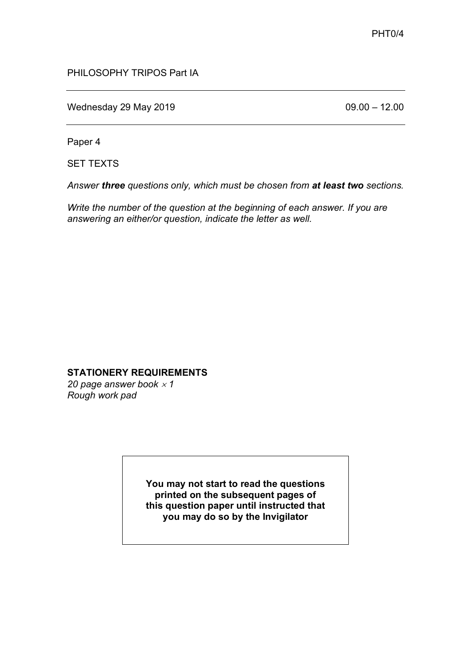### PHILOSOPHY TRIPOS Part IA

Wednesday 29 May 2019 **09.00 – 12.00** 

Paper 4

SET TEXTS

*Answer three questions only, which must be chosen from at least two sections.*

*Write the number of the question at the beginning of each answer. If you are answering an either/or question, indicate the letter as well.*

#### **STATIONERY REQUIREMENTS**

20 page answer book  $\times$  1 *Rough work pad*

> **You may not start to read the questions printed on the subsequent pages of this question paper until instructed that you may do so by the Invigilator**